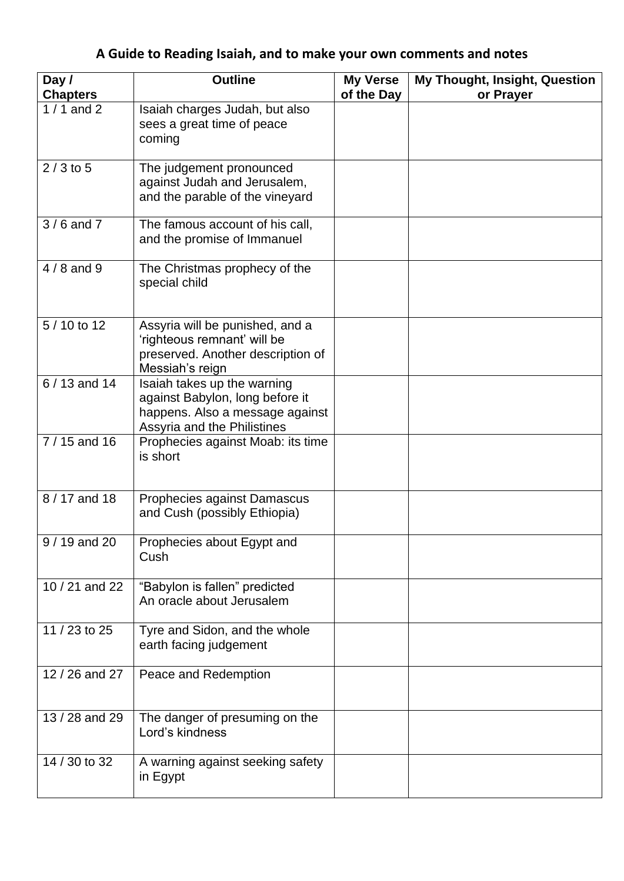## **A Guide to Reading Isaiah, and to make your own comments and notes**

| Day /           | <b>Outline</b>                                                                                                                   | <b>My Verse</b> | My Thought, Insight, Question |
|-----------------|----------------------------------------------------------------------------------------------------------------------------------|-----------------|-------------------------------|
| <b>Chapters</b> |                                                                                                                                  | of the Day      | or Prayer                     |
| $1/1$ and 2     | Isaiah charges Judah, but also<br>sees a great time of peace<br>coming                                                           |                 |                               |
| $2/3$ to 5      | The judgement pronounced<br>against Judah and Jerusalem,<br>and the parable of the vineyard                                      |                 |                               |
| $3/6$ and $7$   | The famous account of his call,<br>and the promise of Immanuel                                                                   |                 |                               |
| $4/8$ and 9     | The Christmas prophecy of the<br>special child                                                                                   |                 |                               |
| 5/10 to 12      | Assyria will be punished, and a<br>'righteous remnant' will be<br>preserved. Another description of<br>Messiah's reign           |                 |                               |
| 6 / 13 and 14   | Isaiah takes up the warning<br>against Babylon, long before it<br>happens. Also a message against<br>Assyria and the Philistines |                 |                               |
| $7/15$ and 16   | Prophecies against Moab: its time<br>is short                                                                                    |                 |                               |
| 8 / 17 and 18   | Prophecies against Damascus<br>and Cush (possibly Ethiopia)                                                                      |                 |                               |
| 9 / 19 and 20   | Prophecies about Egypt and<br>Cush                                                                                               |                 |                               |
| 10 / 21 and 22  | "Babylon is fallen" predicted<br>An oracle about Jerusalem                                                                       |                 |                               |
| 11 / 23 to 25   | Tyre and Sidon, and the whole<br>earth facing judgement                                                                          |                 |                               |
| 12 / 26 and 27  | Peace and Redemption                                                                                                             |                 |                               |
| 13 / 28 and 29  | The danger of presuming on the<br>Lord's kindness                                                                                |                 |                               |
| 14 / 30 to 32   | A warning against seeking safety<br>in Egypt                                                                                     |                 |                               |